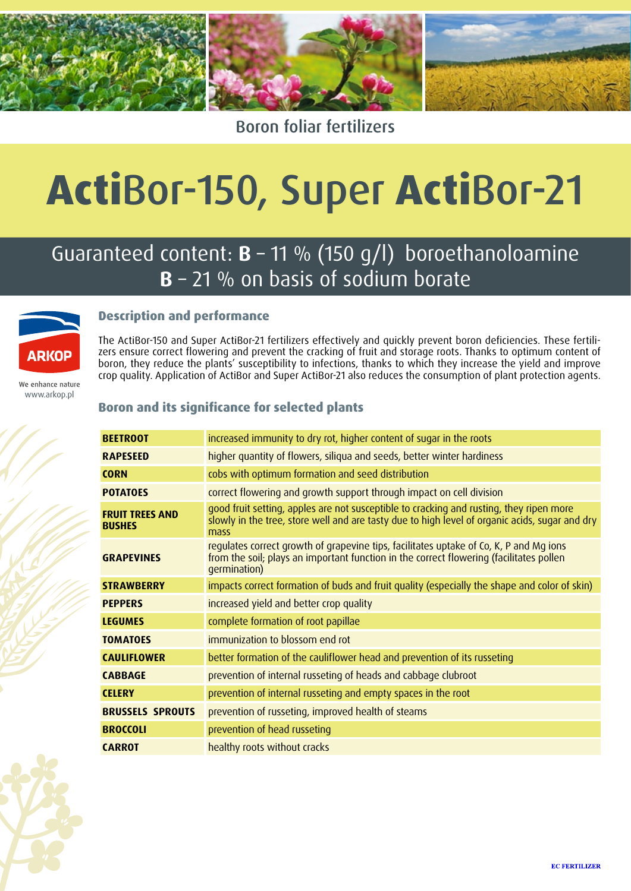

### Boron foliar fertilizers

# **Acti**Bor-150, Super **Acti**Bor-21

## Guaranteed content: **B** – 11 % (150 g/l) boroethanoloamine **B** – 21 % on basis of sodium borate



#### **Description and performance**

The ActiBor-150 and Super ActiBor-21 fertilizers effectively and quickly prevent boron deficiencies. These fertilizers ensure correct flowering and prevent the cracking of fruit and storage roots. Thanks to optimum content of boron, they reduce the plants' susceptibility to infections, thanks to which they increase the yield and improve crop quality. Application of ActiBor and Super ActiBor-21 also reduces the consumption of plant protection agents.

We enhance nature www.arkop.pl

#### **Boron and its significance for selected plants**

| <b>BEETROOT</b>                         | increased immunity to dry rot, higher content of sugar in the roots                                                                                                                               |
|-----------------------------------------|---------------------------------------------------------------------------------------------------------------------------------------------------------------------------------------------------|
| <b>RAPESEED</b>                         | higher quantity of flowers, siliqua and seeds, better winter hardiness                                                                                                                            |
| <b>CORN</b>                             | cobs with optimum formation and seed distribution                                                                                                                                                 |
| <b>POTATOES</b>                         | correct flowering and growth support through impact on cell division                                                                                                                              |
| <b>FRUIT TREES AND</b><br><b>BUSHES</b> | good fruit setting, apples are not susceptible to cracking and rusting, they ripen more<br>slowly in the tree, store well and are tasty due to high level of organic acids, sugar and dry<br>mass |
| <b>GRAPEVINES</b>                       | regulates correct growth of grapevine tips, facilitates uptake of Co, K, P and Mg ions<br>from the soil; plays an important function in the correct flowering (facilitates pollen<br>germination) |
| <b>STRAWBERRY</b>                       | impacts correct formation of buds and fruit quality (especially the shape and color of skin)                                                                                                      |
| <b>PEPPERS</b>                          | increased yield and better crop quality                                                                                                                                                           |
| <b>LEGUMES</b>                          | complete formation of root papillae                                                                                                                                                               |
| <b>TOMATOES</b>                         | immunization to blossom end rot                                                                                                                                                                   |
| <b>CAULIFLOWER</b>                      | better formation of the cauliflower head and prevention of its russeting                                                                                                                          |
| <b>CABBAGE</b>                          | prevention of internal russeting of heads and cabbage clubroot                                                                                                                                    |
| <b>CELERY</b>                           | prevention of internal russeting and empty spaces in the root                                                                                                                                     |
| <b>BRUSSELS SPROUTS</b>                 | prevention of russeting, improved health of steams                                                                                                                                                |
| <b>BROCCOLI</b>                         | prevention of head russeting                                                                                                                                                                      |
| <b>CARROT</b>                           | healthy roots without cracks                                                                                                                                                                      |